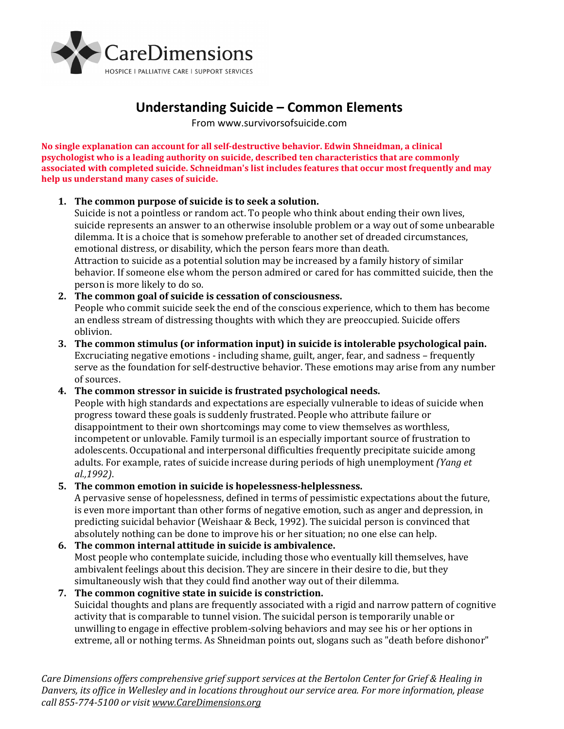

# **Understanding Suicide – Common Elements**

From www.survivorsofsuicide.com

**No single explanation can account for all self-destructive behavior. Edwin Shneidman, a clinical psychologist who is a leading authority on suicide, described ten characteristics that are commonly associated with completed suicide. Schneidman's list includes features that occur most frequently and may help us understand many cases of suicide.**

### **1. The common purpose of suicide is to seek a solution.**

Suicide is not a pointless or random act. To people who think about ending their own lives, suicide represents an answer to an otherwise insoluble problem or a way out of some unbearable dilemma. It is a choice that is somehow preferable to another set of dreaded circumstances, emotional distress, or disability, which the person fears more than death. Attraction to suicide as a potential solution may be increased by a family history of similar behavior. If someone else whom the person admired or cared for has committed suicide, then the person is more likely to do so.

## **2. The common goal of suicide is cessation of consciousness.**

People who commit suicide seek the end of the conscious experience, which to them has become an endless stream of distressing thoughts with which they are preoccupied. Suicide offers oblivion.

**3. The common stimulus (or information input) in suicide is intolerable psychological pain.** Excruciating negative emotions - including shame, guilt, anger, fear, and sadness – frequently serve as the foundation for self-destructive behavior. These emotions may arise from any number of sources.

### **4. The common stressor in suicide is frustrated psychological needs.**

People with high standards and expectations are especially vulnerable to ideas of suicide when progress toward these goals is suddenly frustrated. People who attribute failure or disappointment to their own shortcomings may come to view themselves as worthless, incompetent or unlovable. Family turmoil is an especially important source of frustration to adolescents. Occupational and interpersonal difficulties frequently precipitate suicide among adults. For example, rates of suicide increase during periods of high unemployment *(Yang et al.,1992)*.

### **5. The common emotion in suicide is hopelessness-helplessness.**

A pervasive sense of hopelessness, defined in terms of pessimistic expectations about the future, is even more important than other forms of negative emotion, such as anger and depression, in predicting suicidal behavior (Weishaar & Beck, 1992). The suicidal person is convinced that absolutely nothing can be done to improve his or her situation; no one else can help.

### **6. The common internal attitude in suicide is ambivalence.**

Most people who contemplate suicide, including those who eventually kill themselves, have ambivalent feelings about this decision. They are sincere in their desire to die, but they simultaneously wish that they could find another way out of their dilemma.

#### **7. The common cognitive state in suicide is constriction.** Suicidal thoughts and plans are frequently associated with a rigid and narrow pattern of cognitive activity that is comparable to tunnel vision. The suicidal person is temporarily unable or

unwilling to engage in effective problem-solving behaviors and may see his or her options in extreme, all or nothing terms. As Shneidman points out, slogans such as "death before dishonor"

*Care Dimensions offers comprehensive grief support services at the Bertolon Center for Grief & Healing in Danvers, its office in Wellesley and in locations throughout our service area. For more information, please call 855-774-5100 or visit [www.CareDimensions.org](http://www.caredimensions.org/)*